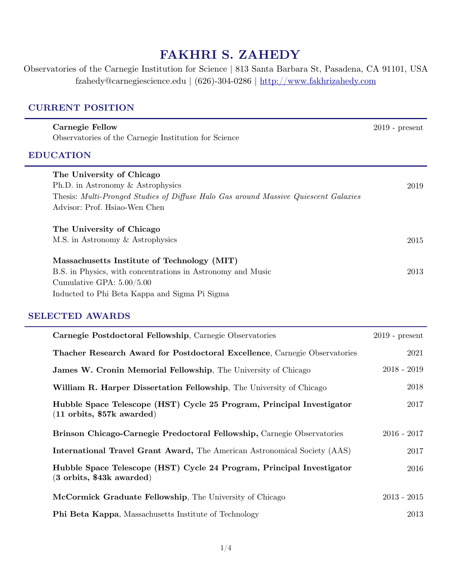# **FAKHRI S. ZAHEDY**

Observatories of the Carnegie Institution for Science | 813 Santa Barbara St, Pasadena, CA 91101, USA fzahedy@carnegiescience.edu | (626)-304-0286 |<http://www.fakhrizahedy.com>

### **CURRENT POSITION**

| <b>Carnegie Fellow</b><br>Observatories of the Carnegie Institution for Science                                                                                                            | $2019$ - present |
|--------------------------------------------------------------------------------------------------------------------------------------------------------------------------------------------|------------------|
| <b>EDUCATION</b>                                                                                                                                                                           |                  |
| The University of Chicago<br>Ph.D. in Astronomy & Astrophysics<br>Thesis: Multi-Pronged Studies of Diffuse Halo Gas around Massive Quiescent Galaxies<br>Advisor: Prof. Hsiao-Wen Chen     | 2019             |
| The University of Chicago<br>M.S. in Astronomy & Astrophysics                                                                                                                              | 2015             |
| Massachusetts Institute of Technology (MIT)<br>B.S. in Physics, with concentrations in Astronomy and Music<br>Cumulative GPA: $5.00/5.00$<br>Inducted to Phi Beta Kappa and Sigma Pi Sigma | 2013             |
| <b>SELECTED AWARDS</b>                                                                                                                                                                     |                  |

| Carnegie Postdoctoral Fellowship, Carnegie Observatories                                                             | $2019$ - present |
|----------------------------------------------------------------------------------------------------------------------|------------------|
| Thacher Research Award for Postdoctoral Excellence, Carnegie Observatories                                           | 2021             |
| James W. Cronin Memorial Fellowship, The University of Chicago                                                       | $2018 - 2019$    |
| William R. Harper Dissertation Fellowship, The University of Chicago                                                 | 2018             |
| Hubble Space Telescope (HST) Cycle 25 Program, Principal Investigator<br>$(11 \text{ orbits}, $57k \text{ awarded})$ | 2017             |
| Brinson Chicago-Carnegie Predoctoral Fellowship, Carnegie Observatories                                              | $2016 - 2017$    |
| <b>International Travel Grant Award, The American Astronomical Society (AAS)</b>                                     | 2017             |
| Hubble Space Telescope (HST) Cycle 24 Program, Principal Investigator<br>$(3 \text{ orbits}, $43k \text{ awarded})$  | 2016             |
| McCormick Graduate Fellowship, The University of Chicago                                                             | $2013 - 2015$    |
| <b>Phi Beta Kappa, Massachusetts Institute of Technology</b>                                                         | 2013             |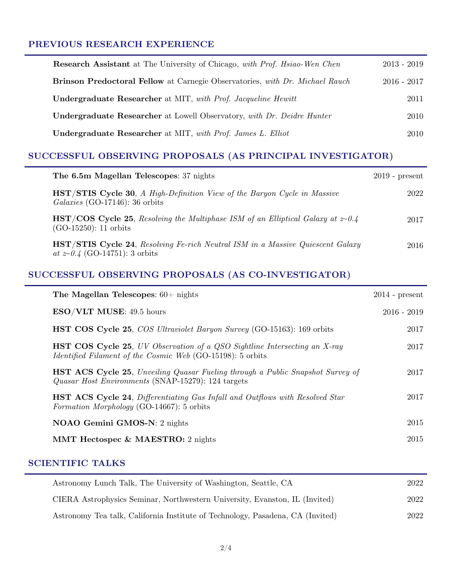#### **PREVIOUS RESEARCH EXPERIENCE**

| <b>Research Assistant</b> at The University of Chicago, with Prof. Hsiao-Wen Chen   | $2013 - 2019$ |
|-------------------------------------------------------------------------------------|---------------|
| <b>Brinson Predoctoral Fellow</b> at Carnegie Observatories, with Dr. Michael Rauch | $2016 - 2017$ |
| Undergraduate Researcher at MIT, with Prof. Jacqueline Hewitt                       | 2011          |
| <b>Undergraduate Researcher</b> at Lowell Observatory, with Dr. Deidre Hunter       | 2010          |
| Undergraduate Researcher at MIT, with Prof. James L. Elliot                         | 2010          |

### **SUCCESSFUL OBSERVING PROPOSALS (AS PRINCIPAL INVESTIGATOR)**

| The 6.5m Magellan Telescopes: 37 nights                                                                                              | $2019$ - present |
|--------------------------------------------------------------------------------------------------------------------------------------|------------------|
| <b>HST/STIS Cycle 30,</b> A High-Definition View of the Baryon Cycle in Massive<br>Galaxies (GO-17146): 36 orbits                    | 2022             |
| <b>HST/COS</b> Cycle 25, Resolving the Multiphase ISM of an Elliptical Galaxy at $z\text{-}0.4$<br>$(GO-15250)$ : 11 orbits          | 2017             |
| <b>HST/STIS Cycle 24, Resolving Fe-rich Neutral ISM in a Massive Quiescent Galaxy</b><br><i>at</i> $z \sim 0.4$ (GO-14751): 3 orbits | 2016             |

### **SUCCESSFUL OBSERVING PROPOSALS (AS CO-INVESTIGATOR)**

| The Magellan Telescopes: $60+$ nights                                                                                                                 | $2014$ - present |
|-------------------------------------------------------------------------------------------------------------------------------------------------------|------------------|
| $ESO/VLT$ MUSE: 49.5 hours                                                                                                                            | $2016 - 2019$    |
| <b>HST COS Cycle 25, COS Ultraviolet Baryon Survey (GO-15163): 169 orbits</b>                                                                         | 2017             |
| <b>HST COS Cycle 25, UV Observation of a QSO Sightline Intersecting an X-ray</b><br><i>Identified Filament of the Cosmic Web</i> (GO-15198): 5 orbits | 2017             |
| <b>HST ACS Cycle 25, Unveiling Quasar Fueling through a Public Snapshot Survey of</b><br>Quasar Host Environments (SNAP-15279): 124 targets           | 2017             |
| <b>HST ACS Cycle 24</b> , Differentiating Gas Infall and Outflows with Resolved Star<br><i>Formation Morphology</i> (GO-14667): 5 orbits              | 2017             |
| <b>NOAO Gemini GMOS-N:</b> 2 nights                                                                                                                   | 2015             |
| MMT Hectospec & MAESTRO: 2 nights                                                                                                                     | 2015             |

### **SCIENTIFIC TALKS**

| Astronomy Lunch Talk, The University of Washington, Seattle, CA                | 2022 |
|--------------------------------------------------------------------------------|------|
| CIERA Astrophysics Seminar, Northwestern University, Evanston, IL (Invited)    | 2022 |
| Astronomy Tea talk, California Institute of Technology, Pasadena, CA (Invited) | 2022 |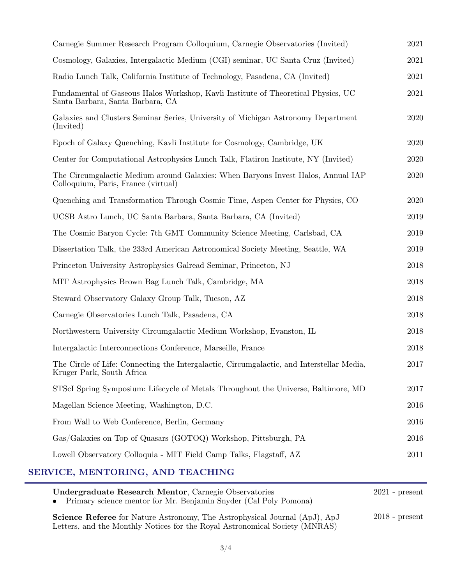| Cosmology, Galaxies, Intergalactic Medium (CGI) seminar, UC Santa Cruz (Invited)<br>2021<br>Radio Lunch Talk, California Institute of Technology, Pasadena, CA (Invited)<br>2021<br>Fundamental of Gaseous Halos Workshop, Kavli Institute of Theoretical Physics, UC<br>2021<br>Santa Barbara, Santa Barbara, CA<br>Galaxies and Clusters Seminar Series, University of Michigan Astronomy Department<br>2020<br>(Invited)<br>Epoch of Galaxy Quenching, Kavli Institute for Cosmology, Cambridge, UK<br>2020<br>Center for Computational Astrophysics Lunch Talk, Flatiron Institute, NY (Invited)<br>2020<br>The Circumgalactic Medium around Galaxies: When Baryons Invest Halos, Annual IAP<br>2020<br>Colloquium, Paris, France (virtual)<br>Quenching and Transformation Through Cosmic Time, Aspen Center for Physics, CO<br>2020<br>UCSB Astro Lunch, UC Santa Barbara, Santa Barbara, CA (Invited)<br>2019<br>The Cosmic Baryon Cycle: 7th GMT Community Science Meeting, Carlsbad, CA<br>2019<br>Dissertation Talk, the 233rd American Astronomical Society Meeting, Seattle, WA<br>2019<br>Princeton University Astrophysics Galread Seminar, Princeton, NJ<br>2018<br>MIT Astrophysics Brown Bag Lunch Talk, Cambridge, MA<br>2018<br>Steward Observatory Galaxy Group Talk, Tucson, AZ<br>2018<br>Carnegie Observatories Lunch Talk, Pasadena, CA<br>2018<br>Northwestern University Circumgalactic Medium Workshop, Evanston, IL<br>2018<br>Intergalactic Interconnections Conference, Marseille, France<br>2018<br>The Circle of Life: Connecting the Intergalactic, Circumgalactic, and Interstellar Media,<br>2017<br>Kruger Park, South Africa<br>STScI Spring Symposium: Lifecycle of Metals Throughout the Universe, Baltimore, MD<br>$2017\,$<br>Magellan Science Meeting, Washington, D.C.<br>2016<br>From Wall to Web Conference, Berlin, Germany<br>2016<br>Gas/Galaxies on Top of Quasars (GOTOQ) Workshop, Pittsburgh, PA<br>2016<br>Lowell Observatory Colloquia - MIT Field Camp Talks, Flagstaff, AZ<br>2011 | Carnegie Summer Research Program Colloquium, Carnegie Observatories (Invited) | 2021 |
|--------------------------------------------------------------------------------------------------------------------------------------------------------------------------------------------------------------------------------------------------------------------------------------------------------------------------------------------------------------------------------------------------------------------------------------------------------------------------------------------------------------------------------------------------------------------------------------------------------------------------------------------------------------------------------------------------------------------------------------------------------------------------------------------------------------------------------------------------------------------------------------------------------------------------------------------------------------------------------------------------------------------------------------------------------------------------------------------------------------------------------------------------------------------------------------------------------------------------------------------------------------------------------------------------------------------------------------------------------------------------------------------------------------------------------------------------------------------------------------------------------------------------------------------------------------------------------------------------------------------------------------------------------------------------------------------------------------------------------------------------------------------------------------------------------------------------------------------------------------------------------------------------------------------------------------------------------------------------------------------------------------------------------------------|-------------------------------------------------------------------------------|------|
|                                                                                                                                                                                                                                                                                                                                                                                                                                                                                                                                                                                                                                                                                                                                                                                                                                                                                                                                                                                                                                                                                                                                                                                                                                                                                                                                                                                                                                                                                                                                                                                                                                                                                                                                                                                                                                                                                                                                                                                                                                            |                                                                               |      |
|                                                                                                                                                                                                                                                                                                                                                                                                                                                                                                                                                                                                                                                                                                                                                                                                                                                                                                                                                                                                                                                                                                                                                                                                                                                                                                                                                                                                                                                                                                                                                                                                                                                                                                                                                                                                                                                                                                                                                                                                                                            |                                                                               |      |
|                                                                                                                                                                                                                                                                                                                                                                                                                                                                                                                                                                                                                                                                                                                                                                                                                                                                                                                                                                                                                                                                                                                                                                                                                                                                                                                                                                                                                                                                                                                                                                                                                                                                                                                                                                                                                                                                                                                                                                                                                                            |                                                                               |      |
|                                                                                                                                                                                                                                                                                                                                                                                                                                                                                                                                                                                                                                                                                                                                                                                                                                                                                                                                                                                                                                                                                                                                                                                                                                                                                                                                                                                                                                                                                                                                                                                                                                                                                                                                                                                                                                                                                                                                                                                                                                            |                                                                               |      |
|                                                                                                                                                                                                                                                                                                                                                                                                                                                                                                                                                                                                                                                                                                                                                                                                                                                                                                                                                                                                                                                                                                                                                                                                                                                                                                                                                                                                                                                                                                                                                                                                                                                                                                                                                                                                                                                                                                                                                                                                                                            |                                                                               |      |
|                                                                                                                                                                                                                                                                                                                                                                                                                                                                                                                                                                                                                                                                                                                                                                                                                                                                                                                                                                                                                                                                                                                                                                                                                                                                                                                                                                                                                                                                                                                                                                                                                                                                                                                                                                                                                                                                                                                                                                                                                                            |                                                                               |      |
|                                                                                                                                                                                                                                                                                                                                                                                                                                                                                                                                                                                                                                                                                                                                                                                                                                                                                                                                                                                                                                                                                                                                                                                                                                                                                                                                                                                                                                                                                                                                                                                                                                                                                                                                                                                                                                                                                                                                                                                                                                            |                                                                               |      |
|                                                                                                                                                                                                                                                                                                                                                                                                                                                                                                                                                                                                                                                                                                                                                                                                                                                                                                                                                                                                                                                                                                                                                                                                                                                                                                                                                                                                                                                                                                                                                                                                                                                                                                                                                                                                                                                                                                                                                                                                                                            |                                                                               |      |
|                                                                                                                                                                                                                                                                                                                                                                                                                                                                                                                                                                                                                                                                                                                                                                                                                                                                                                                                                                                                                                                                                                                                                                                                                                                                                                                                                                                                                                                                                                                                                                                                                                                                                                                                                                                                                                                                                                                                                                                                                                            |                                                                               |      |
|                                                                                                                                                                                                                                                                                                                                                                                                                                                                                                                                                                                                                                                                                                                                                                                                                                                                                                                                                                                                                                                                                                                                                                                                                                                                                                                                                                                                                                                                                                                                                                                                                                                                                                                                                                                                                                                                                                                                                                                                                                            |                                                                               |      |
|                                                                                                                                                                                                                                                                                                                                                                                                                                                                                                                                                                                                                                                                                                                                                                                                                                                                                                                                                                                                                                                                                                                                                                                                                                                                                                                                                                                                                                                                                                                                                                                                                                                                                                                                                                                                                                                                                                                                                                                                                                            |                                                                               |      |
|                                                                                                                                                                                                                                                                                                                                                                                                                                                                                                                                                                                                                                                                                                                                                                                                                                                                                                                                                                                                                                                                                                                                                                                                                                                                                                                                                                                                                                                                                                                                                                                                                                                                                                                                                                                                                                                                                                                                                                                                                                            |                                                                               |      |
|                                                                                                                                                                                                                                                                                                                                                                                                                                                                                                                                                                                                                                                                                                                                                                                                                                                                                                                                                                                                                                                                                                                                                                                                                                                                                                                                                                                                                                                                                                                                                                                                                                                                                                                                                                                                                                                                                                                                                                                                                                            |                                                                               |      |
|                                                                                                                                                                                                                                                                                                                                                                                                                                                                                                                                                                                                                                                                                                                                                                                                                                                                                                                                                                                                                                                                                                                                                                                                                                                                                                                                                                                                                                                                                                                                                                                                                                                                                                                                                                                                                                                                                                                                                                                                                                            |                                                                               |      |
|                                                                                                                                                                                                                                                                                                                                                                                                                                                                                                                                                                                                                                                                                                                                                                                                                                                                                                                                                                                                                                                                                                                                                                                                                                                                                                                                                                                                                                                                                                                                                                                                                                                                                                                                                                                                                                                                                                                                                                                                                                            |                                                                               |      |
|                                                                                                                                                                                                                                                                                                                                                                                                                                                                                                                                                                                                                                                                                                                                                                                                                                                                                                                                                                                                                                                                                                                                                                                                                                                                                                                                                                                                                                                                                                                                                                                                                                                                                                                                                                                                                                                                                                                                                                                                                                            |                                                                               |      |
|                                                                                                                                                                                                                                                                                                                                                                                                                                                                                                                                                                                                                                                                                                                                                                                                                                                                                                                                                                                                                                                                                                                                                                                                                                                                                                                                                                                                                                                                                                                                                                                                                                                                                                                                                                                                                                                                                                                                                                                                                                            |                                                                               |      |
|                                                                                                                                                                                                                                                                                                                                                                                                                                                                                                                                                                                                                                                                                                                                                                                                                                                                                                                                                                                                                                                                                                                                                                                                                                                                                                                                                                                                                                                                                                                                                                                                                                                                                                                                                                                                                                                                                                                                                                                                                                            |                                                                               |      |
|                                                                                                                                                                                                                                                                                                                                                                                                                                                                                                                                                                                                                                                                                                                                                                                                                                                                                                                                                                                                                                                                                                                                                                                                                                                                                                                                                                                                                                                                                                                                                                                                                                                                                                                                                                                                                                                                                                                                                                                                                                            |                                                                               |      |
|                                                                                                                                                                                                                                                                                                                                                                                                                                                                                                                                                                                                                                                                                                                                                                                                                                                                                                                                                                                                                                                                                                                                                                                                                                                                                                                                                                                                                                                                                                                                                                                                                                                                                                                                                                                                                                                                                                                                                                                                                                            |                                                                               |      |
|                                                                                                                                                                                                                                                                                                                                                                                                                                                                                                                                                                                                                                                                                                                                                                                                                                                                                                                                                                                                                                                                                                                                                                                                                                                                                                                                                                                                                                                                                                                                                                                                                                                                                                                                                                                                                                                                                                                                                                                                                                            |                                                                               |      |
|                                                                                                                                                                                                                                                                                                                                                                                                                                                                                                                                                                                                                                                                                                                                                                                                                                                                                                                                                                                                                                                                                                                                                                                                                                                                                                                                                                                                                                                                                                                                                                                                                                                                                                                                                                                                                                                                                                                                                                                                                                            |                                                                               |      |
|                                                                                                                                                                                                                                                                                                                                                                                                                                                                                                                                                                                                                                                                                                                                                                                                                                                                                                                                                                                                                                                                                                                                                                                                                                                                                                                                                                                                                                                                                                                                                                                                                                                                                                                                                                                                                                                                                                                                                                                                                                            |                                                                               |      |

## **SERVICE, MENTORING, AND TEACHING**

| Undergraduate Research Mentor, Carnegie Observatories<br>• Primary science mentor for Mr. Benjamin Snyder (Cal Poly Pomona)                                      | $2021$ - present |
|------------------------------------------------------------------------------------------------------------------------------------------------------------------|------------------|
| <b>Science Referee</b> for Nature Astronomy, The Astrophysical Journal (ApJ), ApJ<br>Letters, and the Monthly Notices for the Royal Astronomical Society (MNRAS) | $2018$ - present |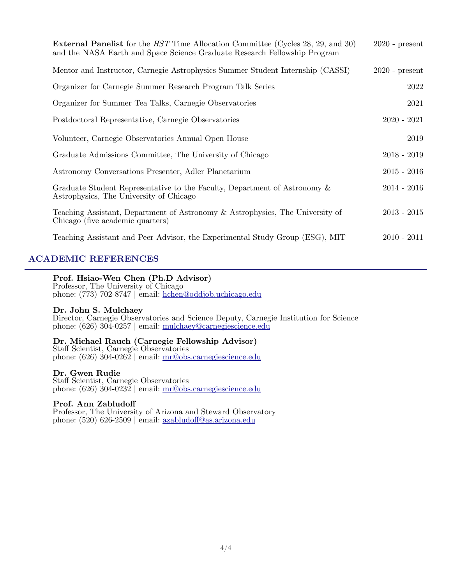| <b>External Panelist</b> for the <i>HST</i> Time Allocation Committee (Cycles 28, 29, and 30)<br>and the NASA Earth and Space Science Graduate Research Fellowship Program | $2020$ - present |
|----------------------------------------------------------------------------------------------------------------------------------------------------------------------------|------------------|
| Mentor and Instructor, Carnegie Astrophysics Summer Student Internship (CASSI)                                                                                             | $2020$ - present |
| Organizer for Carnegie Summer Research Program Talk Series                                                                                                                 | 2022             |
| Organizer for Summer Tea Talks, Carnegie Observatories                                                                                                                     | 2021             |
| Postdoctoral Representative, Carnegie Observatories                                                                                                                        | $2020 - 2021$    |
| Volunteer, Carnegie Observatories Annual Open House                                                                                                                        | 2019             |
| Graduate Admissions Committee, The University of Chicago                                                                                                                   | $2018 - 2019$    |
| Astronomy Conversations Presenter, Adler Planetarium                                                                                                                       | $2015 - 2016$    |
| Graduate Student Representative to the Faculty, Department of Astronomy &<br>Astrophysics, The University of Chicago                                                       | $2014 - 2016$    |
| Teaching Assistant, Department of Astronomy & Astrophysics, The University of<br>Chicago (five academic quarters)                                                          | $2013 - 2015$    |
| Teaching Assistant and Peer Advisor, the Experimental Study Group (ESG), MIT                                                                                               | $2010 - 2011$    |

#### **ACADEMIC REFERENCES**

#### **Prof. Hsiao-Wen Chen (Ph.D Advisor)**

 Professor, The University of Chicago phone: (773) 702-8747 | email: [hchen@oddjob.uchicago.edu](mailto:hchen@oddjob.uchicago.edu)

#### **Dr. John S. Mulchaey**

 Director, Carnegie Observatories and Science Deputy, Carnegie Institution for Science phone: (626) 304-0257 | email: [mulchaey@carnegiescience.edu](mailto:mulchaey@carnegiescience.edu)

# **Dr. Michael Rauch (Carnegie Fellowship Advisor)** Staff Scientist, Carnegie Observatories

phone:  $(626)$  304-0262 | email: mr@obs.carnegiescience.edu

#### **Dr. Gwen Rudie**

 Staff Scientist, Carnegie Observatories phone:  $(626)$  304-0232 | email:  $\text{mr@obs.carnegiescience.edu}$ 

#### **Prof. Ann Zabludoff**

 Professor, The University of Arizona and Steward Observatory phone: (520) 626-2509 | email: azabludoff[@as.arizona.edu](mailto:azabludoff@as.arizona.edu)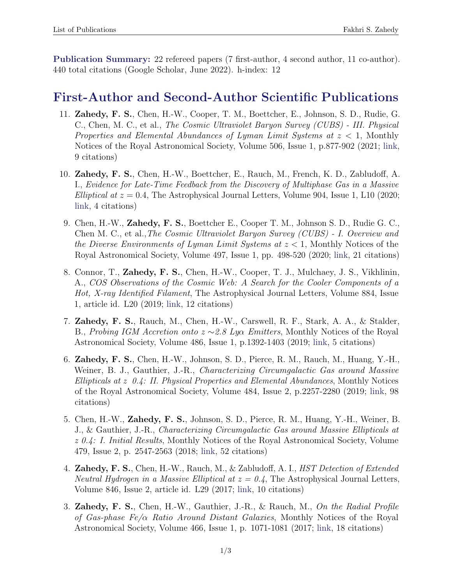Publication Summary: 22 refereed papers (7 first-author, 4 second author, 11 co-author). 440 total citations (Google Scholar, June 2022). h-index: 12

### First-Author and Second-Author Scientific Publications

- 11. Zahedy, F. S., Chen, H.-W., Cooper, T. M., Boettcher, E., Johnson, S. D., Rudie, G. C., Chen, M. C., et al., *The Cosmic Ultraviolet Baryon Survey (CUBS) - III. Physical Properties and Elemental Abundances of Lyman Limit Systems at z <* 1, Monthly Notices of the Royal Astronomical Society, Volume 506, Issue 1, p.877-902 (2021; [link,](https://ui.adsabs.harvard.edu/abs/2021MNRAS.tmp.1525Z/abstract) 9 citations)
- 10. Zahedy, F. S., Chen, H.-W., Boettcher, E., Rauch, M., French, K. D., Zabludoff, A. I., *Evidence for Late-Time Feedback from the Discovery of Multiphase Gas in a Massive Elliptical at z* = 0*.*4, The Astrophysical Journal Letters, Volume 904, Issue 1, L10 (2020; [link,](https://ui.adsabs.harvard.edu/abs/2020ApJ...904L..10Z/abstract) 4 citations)
- 9. Chen, H.-W., Zahedy, F. S., Boettcher E., Cooper T. M., Johnson S. D., Rudie G. C., Chen M. C., et al.,*The Cosmic Ultraviolet Baryon Survey (CUBS) - I. Overview and the Diverse Environments of Lyman Limit Systems at z <* 1, Monthly Notices of the Royal Astronomical Society, Volume 497, Issue 1, pp. 498-520 (2020; [link,](https://academic.oup.com/mnras/article/497/1/498/5859973) 21 citations)
- 8. Connor, T., Zahedy, F. S., Chen, H.-W., Cooper, T. J., Mulchaey, J. S., Vikhlinin, A., *COS Observations of the Cosmic Web: A Search for the Cooler Components of a Hot, X-ray Identified Filament*, The Astrophysical Journal Letters, Volume 884, Issue 1, article id. L20 (2019; [link,](https://iopscience.iop.org/article/10.3847/2041-8213/ab45f5) 12 citations)
- 7. Zahedy, F. S., Rauch, M., Chen, H.-W., Carswell, R. F., Stark, A. A., & Stalder, B., *Probing IGM Accretion onto*  $z \sim 2.8$  *Ly* $\alpha$  *<i>Emitters*, Monthly Notices of the Royal Astronomical Society, Volume 486, Issue 1, p.1392-1403 (2019; [link,](https://academic.oup.com/mnras/article/486/1/1392/5420448) 5 citations)
- 6. Zahedy, F. S., Chen, H.-W., Johnson, S. D., Pierce, R. M., Rauch, M., Huang, Y.-H., Weiner, B. J., Gauthier, J.-R., *Characterizing Circumgalactic Gas around Massive Ellipticals at z 0.4: II. Physical Properties and Elemental Abundances*, Monthly Notices of the Royal Astronomical Society, Volume 484, Issue 2, p.2257-2280 (2019; [link,](https://academic.oup.com/mnras/article/484/2/2257/5256659) 98 citations)
- 5. Chen, H.-W., Zahedy, F. S., Johnson, S. D., Pierce, R. M., Huang, Y.-H., Weiner, B. J., & Gauthier, J.-R., *Characterizing Circumgalactic Gas around Massive Ellipticals at z 0.4: I. Initial Results*, Monthly Notices of the Royal Astronomical Society, Volume 479, Issue 2, p. 2547-2563 (2018; [link,](http://academic.oup.com/mnras/article/479/2/2547/5035848) 52 citations)
- 4. **Zahedy, F. S.**, Chen, H.-W., Rauch, M., & Zabludoff, A. I., *HST Detection of Extended Neutral Hydrogen in a Massive Elliptical at*  $z = 0.4$ , The Astrophysical Journal Letters, Volume 846, Issue 2, article id. L29 (2017; [link,](http://iopscience.iop.org/article/10.3847/2041-8213/aa88a2/meta) 10 citations)
- 3. Zahedy, F. S., Chen, H.-W., Gauthier, J.-R., & Rauch, M., *On the Radial Profile of Gas-phase Fe/*↵ *Ratio Around Distant Galaxies*, Monthly Notices of the Royal Astronomical Society, Volume 466, Issue 1, p. 1071-1081 (2017; [link,](http://academic.oup.com/mnras/article/466/1/1071/2627208) 18 citations)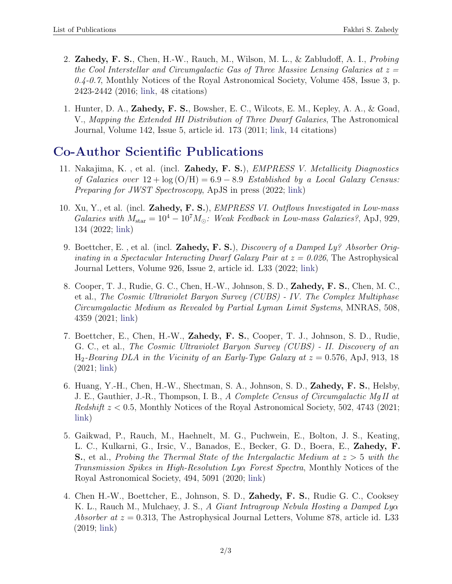- 2. **Zahedy, F. S.**, Chen, H.-W., Rauch, M., Wilson, M. L., & Zabludoff, A. I., *Probing the Cool Interstellar and Circumgalactic Gas of Three Massive Lensing Galaxies at z = 0.4-0.7*, Monthly Notices of the Royal Astronomical Society, Volume 458, Issue 3, p. 2423-2442 (2016; [link,](http://academic.oup.com/mnras/article/458/3/2423/2589311) 48 citations)
- 1. Hunter, D. A., Zahedy, F. S., Bowsher, E. C., Wilcots, E. M., Kepley, A. A., & Goad, V., *Mapping the Extended HI Distribution of Three Dwarf Galaxies*, The Astronomical Journal, Volume 142, Issue 5, article id. 173 (2011; [link,](http://iopscience.iop.org/article/10.1088/0004-6256/142/5/173/meta) 14 citations)

# Co-Author Scientific Publications

- 11. Nakajima, K. , et al. (incl. Zahedy, F. S.), *EMPRESS V. Metallicity Diagnostics of Galaxies over*  $12 + \log(O/H) = 6.9 - 8.9$  *Established by a Local Galaxy Census: Preparing for JWST Spectroscopy*, ApJS in press (2022; [link\)](https://ui.adsabs.harvard.edu/abs/2022arXiv220602824N/abstract)
- 10. Xu, Y., et al. (incl. Zahedy, F. S.), *EMPRESS VI. Outflows Investigated in Low-mass Galaxies with*  $M_{\text{star}} = 10^4 - 10^7 M_{\odot}$ : Weak Feedback in Low-mass Galaxies?, ApJ, 929, 134 (2022; [link\)](https://ui.adsabs.harvard.edu/abs/2022ApJ...929..134X/abstract)
- 9. Boettcher, E. , et al. (incl. Zahedy, F. S.), *Discovery of a Damped Ly? Absorber Originating in a Spectacular Interacting Dwarf Galaxy Pair at z = 0.026*, The Astrophysical Journal Letters, Volume 926, Issue 2, article id. L33 (2022; [link\)](https://ui.adsabs.harvard.edu/abs/2022ApJ...926L..33B/abstract)
- 8. Cooper, T. J., Rudie, G. C., Chen, H.-W., Johnson, S. D., Zahedy, F. S., Chen, M. C., et al., *The Cosmic Ultraviolet Baryon Survey (CUBS) - IV. The Complex Multiphase Circumgalactic Medium as Revealed by Partial Lyman Limit Systems*, MNRAS, 508, 4359 (2021; [link\)](https://academic.oup.com/mnras/article/508/3/4359/6381715)
- 7. Boettcher, E., Chen, H.-W., Zahedy, F. S., Cooper, T. J., Johnson, S. D., Rudie, G. C., et al., *The Cosmic Ultraviolet Baryon Survey (CUBS) - II. Discovery of an* H2*-Bearing DLA in the Vicinity of an Early-Type Galaxy at z* = 0*.*576, ApJ, 913, 18 (2021; [link\)](https://ui.adsabs.harvard.edu/abs/2021ApJ...913...18B/abstract)
- 6. Huang, Y.-H., Chen, H.-W., Shectman, S. A., Johnson, S. D., Zahedy, F. S., Helsby, J. E., Gauthier, J.-R., Thompson, I. B., *A Complete Census of Circumgalactic Mg II at Redshift z <* 0*.*5, Monthly Notices of the Royal Astronomical Society, 502, 4743 (2021; [link\)](https://ui.adsabs.harvard.edu/abs/2021MNRAS.502.4743H/abstract)
- 5. Gaikwad, P., Rauch, M., Haehnelt, M. G., Puchwein, E., Bolton, J. S., Keating, L. C., Kulkarni, G., Irsic, V., Banados, E., Becker, G. D., Boera, E., Zahedy, F. S., et al., *Probing the Thermal State of the Intergalactic Medium at z >* 5 *with the Transmission Spikes in High-Resolution Ly<sub>Q</sub> Forest Spectra, Monthly Notices of the* Royal Astronomical Society, 494, 5091 (2020; [link\)](https://academic.oup.com/mnras/article/494/4/5091/5818338)
- 4. Chen H.-W., Boettcher, E., Johnson, S. D., Zahedy, F. S., Rudie G. C., Cooksey K. L., Rauch M., Mulchaey, J. S., *A Giant Intragroup Nebula Hosting a Damped Ly* $\alpha$ *Absorber at z* = 0*.*313, The Astrophysical Journal Letters, Volume 878, article id. L33 (2019; [link\)](https://iopscience.iop.org/article/10.3847/2041-8213/ab25ec)